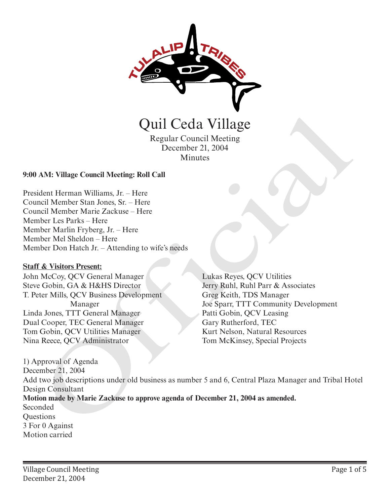

Regular Council Meeting December 21, 2004 **Minutes** 

#### **9:00 AM: Village Council Meeting: Roll Call**

President Herman Williams, Jr. – Here Council Member Stan Jones, Sr. – Here Council Member Marie Zackuse – Here Member Les Parks – Here Member Marlin Fryberg, Jr. – Here Member Mel Sheldon – Here Member Don Hatch Jr. – Attending to wife's needs

#### **Staff & Visitors Present:**

John McCoy, QCV General Manager Steve Gobin, GA & H&HS Director T. Peter Mills, QCV Business Development Manager Linda Jones, TTT General Manager Dual Cooper, TEC General Manager Tom Gobin, QCV Utilities Manager Nina Reece, QCV Administrator

Lukas Reyes, QCV Utilities Jerry Ruhl, Ruhl Parr & Associates Greg Keith, TDS Manager Joe Sparr, TTT Community Development Patti Gobin, QCV Leasing Gary Rutherford, TEC Kurt Nelson, Natural Resources Tom McKinsey, Special Projects

1) Approval of Agenda December 21, 2004 Add two job descriptions under old business as number 5 and 6, Central Plaza Manager and Tribal Hotel Design Consultant **Motion made by Marie Zackuse to approve agenda of December 21, 2004 as amended.**  Seconded **Questions** 3 For 0 Against Motion carried Quil Ceda Village<br>
Regular Council Meeting<br>
December 21, 2004<br>
Minutes<br>
AM: Village Council Meeting: Roll Call<br>
dent Herman Williams, Jr. – Here<br>
included Member Shan Jones, Sr. – Here<br>
ber Les Parks - Here<br>
ber Les Parks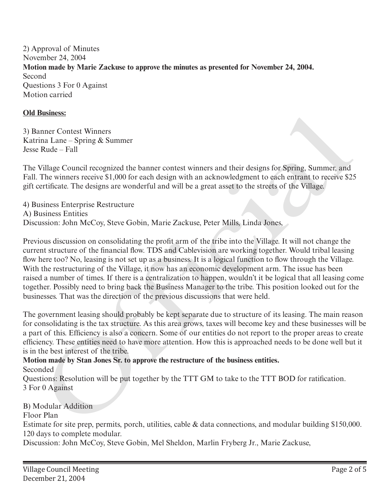2) Approval of Minutes November 24, 2004 **Motion made by Marie Zackuse to approve the minutes as presented for November 24, 2004.**  Second Questions 3 For 0 Against Motion carried

#### **Old Business:**

3) Banner Contest Winners Katrina Lane – Spring & Summer Jesse Rude – Fall

The Village Council recognized the banner contest winners and their designs for Spring, Summer, and Fall. The winners receive \$1,000 for each design with an acknowledgment to each entrant to receive \$25 gift certificate. The designs are wonderful and will be a great asset to the streets of the Village.

4) Business Enterprise Restructure A) Business Entities Discussion: John McCoy, Steve Gobin, Marie Zackuse, Peter Mills, Linda Jones,

Previous discussion on consolidating the profit arm of the tribe into the Village. It will not change the current structure of the financial flow. TDS and Cablevision are working together. Would tribal leasing flow here too? No, leasing is not set up as a business. It is a logical function to flow through the Village. With the restructuring of the Village, it now has an economic development arm. The issue has been raised a number of times. If there is a centralization to happen, wouldn't it be logical that all leasing come together. Possibly need to bring back the Business Manager to the tribe. This position looked out for the businesses. That was the direction of the previous discussions that were held. mismess:<br>
instances:<br>
The Lane – Spring & Summer<br>
Tradition Contest Winners<br>
Tradition – Spring & Summer<br>
Tradition – Tradition Comparison to the base of the stress of the Village.<br>
The winners receive \$1,000 for each desi

The government leasing should probably be kept separate due to structure of its leasing. The main reason for consolidating is the tax structure. As this area grows, taxes will become key and these businesses will be a part of this. Efficiency is also a concern. Some of our entities do not report to the proper areas to create efficiency. These entities need to have more attention. How this is approached needs to be done well but it is in the best interest of the tribe.

#### **Motion made by Stan Jones Sr. to approve the restructure of the business entities.** Seconded

Questions: Resolution will be put together by the TTT GM to take to the TTT BOD for ratification. 3 For 0 Against

## B) Modular Addition

Floor Plan

Estimate for site prep, permits, porch, utilities, cable & data connections, and modular building \$150,000. 120 days to complete modular.

Discussion: John McCoy, Steve Gobin, Mel Sheldon, Marlin Fryberg Jr., Marie Zackuse,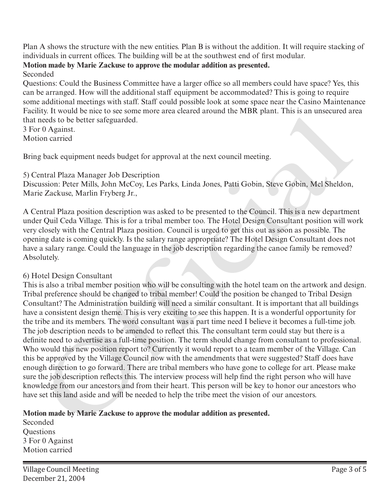Plan A shows the structure with the new entities. Plan B is without the addition. It will require stacking of individuals in current offices. The building will be at the southwest end of first modular.

# **Motion made by Marie Zackuse to approve the modular addition as presented.**

Seconded

Questions: Could the Business Committee have a larger office so all members could have space? Yes, this can be arranged. How will the additional staff equipment be accommodated? This is going to require some additional meetings with staff. Staff could possible look at some space near the Casino Maintenance Facility. It would be nice to see some more area cleared around the MBR plant. This is an unsecured area that needs to be better safeguarded.

3 For 0 Against. Motion carried

Bring back equipment needs budget for approval at the next council meeting.

## 5) Central Plaza Manager Job Description

Discussion: Peter Mills, John McCoy, Les Parks, Linda Jones, Patti Gobin, Steve Gobin, Mel Sheldon, Marie Zackuse, Marlin Fryberg Jr.,

A Central Plaza position description was asked to be presented to the Council. This is a new department under Quil Ceda Village. This is for a tribal member too. The Hotel Design Consultant position will work very closely with the Central Plaza position. Council is urged to get this out as soon as possible. The opening date is coming quickly. Is the salary range appropriate? The Hotel Design Consultant does not have a salary range. Could the language in the job description regarding the canoe family be removed? Absolutely.

## 6) Hotel Design Consultant

This is also a tribal member position who will be consulting with the hotel team on the artwork and design. Tribal preference should be changed to tribal member! Could the position be changed to Tribal Design Consultant? The Administration building will need a similar consultant. It is important that all buildings have a consistent design theme. This is very exciting to see this happen. It is a wonderful opportunity for the tribe and its members. The word consultant was a part time need I believe it becomes a full-time job. The job description needs to be amended to reflect this. The consultant term could stay but there is a definite need to advertise as a full-time position. The term should change from consultant to professional. Who would this new position report to? Currently it would report to a team member of the Village. Can this be approved by the Village Council now with the amendments that were suggested? Staff does have enough direction to go forward. There are tribal members who have gone to college for art. Please make sure the job description reflects this. The interview process will help find the right person who will have knowledge from our ancestors and from their heart. This person will be key to honor our ancestors who have set this land aside and will be needed to help the tribe meet the vision of our ancestors. ny. It would be the to see some hand the there is a lift in method that the seeds of the seed of the sector and the section in the section in the section of relation of the section of the section of the section of the sect

## **Motion made by Marie Zackuse to approve the modular addition as presented.**

Seconded **Ouestions** 3 For 0 Against Motion carried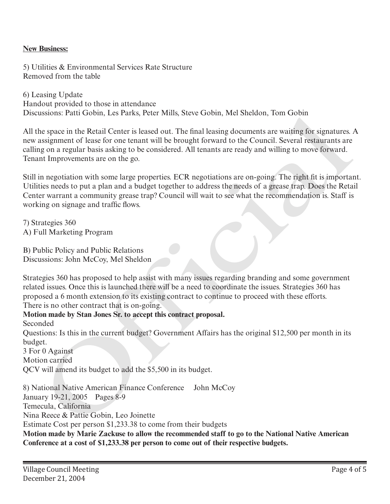#### **New Business:**

5) Utilities & Environmental Services Rate Structure Removed from the table

6) Leasing Update Handout provided to those in attendance Discussions: Patti Gobin, Les Parks, Peter Mills, Steve Gobin, Mel Sheldon, Tom Gobin

All the space in the Retail Center is leased out. The final leasing documents are waiting for signatures. A new assignment of lease for one tenant will be brought forward to the Council. Several restaurants are calling on a regular basis asking to be considered. All tenants are ready and willing to move forward. Tenant Improvements are on the go.

Still in negotiation with some large properties. ECR negotiations are on-going. The right fit is important. Utilities needs to put a plan and a budget together to address the needs of a grease trap. Does the Retail Center warrant a community grease trap? Council will wait to see what the recommendation is. Staff is working on signage and traffic flows.

7) Strategies 360 A) Full Marketing Program

B) Public Policy and Public Relations Discussions: John McCoy, Mel Sheldon

Strategies 360 has proposed to help assist with many issues regarding branding and some government related issues. Once this is launched there will be a need to coordinate the issues. Strategies 360 has proposed a 6 month extension to its existing contract to continue to proceed with these efforts. There is no other contract that is on-going.

# **Motion made by Stan Jones Sr. to accept this contract proposal.**

Seconded

Questions: Is this in the current budget? Government Affairs has the original \$12,500 per month in its budget.

3 For 0 Against Motion carried QCV will amend its budget to add the \$5,500 in its budget.

8) National Native American Finance Conference John McCoy January 19-21, 2005 Pages 8-9 Temecula, California Nina Reece & Pattie Gobin, Leo Joinette Estimate Cost per person \$1,233.38 to come from their budgets **Motion made by Marie Zackuse to allow the recommended staff to go to the National Native American**  ussions: Patti Grobin, Les Parks, Peter Winis, Steve Crobin, Met Sheldon, 10m Grobin<br>
espacie in the Retail Center is leased out. The final leasing documents are vatiling for signatures<br>
assignment of lease for one tenant